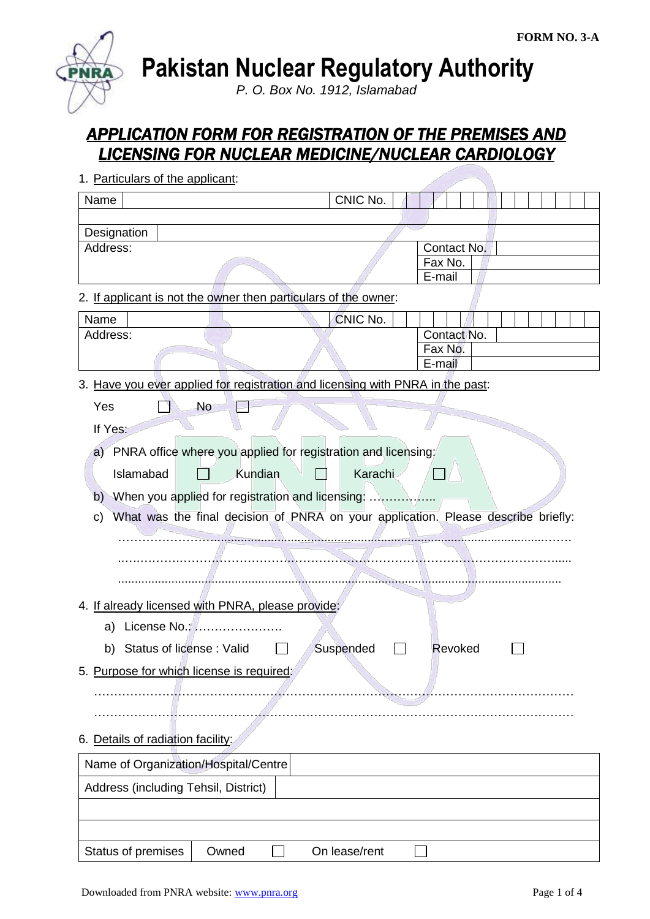

**Pakistan Nuclear Regulatory Authority**

*P. O. Box No. 1912, Islamabad*

# *APPLICATION FORM FOR REGISTRATION OF THE PREMISES AND LICENSING FOR NUCLEAR MEDICINE/NUCLEAR CARDIOLOGY*

| 1. Particulars of the applicant:                                               |               |                                                                                   |
|--------------------------------------------------------------------------------|---------------|-----------------------------------------------------------------------------------|
| Name                                                                           | CNIC No.      |                                                                                   |
|                                                                                |               |                                                                                   |
| Designation                                                                    |               |                                                                                   |
| Address:                                                                       |               | Contact No.                                                                       |
|                                                                                |               | Fax No.<br>E-mail                                                                 |
| 2. If applicant is not the owner then particulars of the owner:                |               |                                                                                   |
| Name                                                                           | CNIC No.      |                                                                                   |
| Address:                                                                       |               | Contact No.                                                                       |
|                                                                                |               | Fax No.                                                                           |
|                                                                                |               | E-mail                                                                            |
| 3. Have you ever applied for registration and licensing with PNRA in the past: |               |                                                                                   |
| <b>No</b><br>Yes                                                               |               |                                                                                   |
| If Yes:                                                                        |               |                                                                                   |
| PNRA office where you applied for registration and licensing:<br>a)            |               |                                                                                   |
| Kundian<br>Islamabad                                                           | Karachi       |                                                                                   |
|                                                                                |               |                                                                                   |
| b)                                                                             |               |                                                                                   |
| C)                                                                             |               | What was the final decision of PNRA on your application. Please describe briefly: |
|                                                                                |               |                                                                                   |
|                                                                                |               |                                                                                   |
|                                                                                |               |                                                                                   |
| 4. If already licensed with PNRA, please provide:                              |               |                                                                                   |
|                                                                                |               |                                                                                   |
| License No.:<br>a)                                                             |               |                                                                                   |
| b) Status of license: Valid                                                    | Suspended     | Revoked                                                                           |
| 5. Purpose for which license is required:                                      |               |                                                                                   |
|                                                                                |               |                                                                                   |
|                                                                                |               |                                                                                   |
|                                                                                |               |                                                                                   |
| 6. Details of radiation facility:                                              |               |                                                                                   |
| Name of Organization/Hospital/Centre                                           |               |                                                                                   |
| Address (including Tehsil, District)                                           |               |                                                                                   |
|                                                                                |               |                                                                                   |
|                                                                                |               |                                                                                   |
| Status of premises<br>Owned                                                    | On lease/rent |                                                                                   |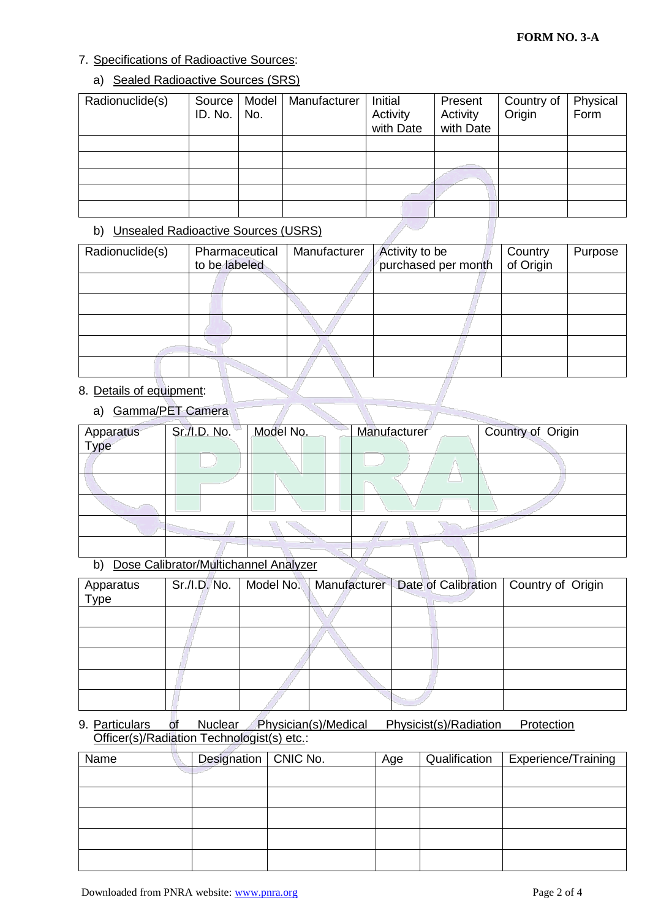# 7. Specifications of Radioactive Sources:

## a) Sealed Radioactive Sources (SRS)

| Radionuclide(s) | Source  <br>ID. No. | Model<br>No. | Manufacturer | Initial<br>Activity<br>with Date | Present<br>Activity<br>with Date | Country of<br>Origin | Physical<br>Form |
|-----------------|---------------------|--------------|--------------|----------------------------------|----------------------------------|----------------------|------------------|
|                 |                     |              |              |                                  |                                  |                      |                  |
|                 |                     |              |              |                                  |                                  |                      |                  |
|                 |                     |              |              |                                  |                                  |                      |                  |
|                 |                     |              |              |                                  |                                  |                      |                  |
|                 |                     |              |              |                                  |                                  |                      |                  |

## b) Unsealed Radioactive Sources (USRS)

| Radionuclide(s) | Pharmaceutical<br>to be labeled | Manufacturer | Activity to be<br>purchased per month | Country<br>of Origin | Purpose |
|-----------------|---------------------------------|--------------|---------------------------------------|----------------------|---------|
|                 |                                 |              |                                       |                      |         |
|                 |                                 |              |                                       |                      |         |
|                 |                                 |              |                                       |                      |         |
|                 |                                 |              |                                       |                      |         |
|                 |                                 |              |                                       |                      |         |

# 8. Details of equipment:

# a) Gamma/PET Camera

| Apparatus<br>Type | Sr./I.D. No. | Model No. | Manufacturer | Country of Origin |
|-------------------|--------------|-----------|--------------|-------------------|
|                   |              |           |              |                   |
|                   |              |           |              |                   |
|                   |              |           |              |                   |
|                   |              |           |              |                   |
|                   |              |           |              |                   |

#### b) Dose Calibrator/Multichannel Analyzer

| Apparatus<br>Type | Sr./I.D. No. | Model No. | Manufacturer   Date of Calibration   Country of Origin |  |
|-------------------|--------------|-----------|--------------------------------------------------------|--|
|                   |              |           |                                                        |  |
|                   |              |           |                                                        |  |
|                   |              |           |                                                        |  |
|                   |              |           |                                                        |  |
|                   |              |           |                                                        |  |

#### 9. Particulars of Nuclear Physician(s)/Medical Physicist(s)/Radiation Protection Officer(s)/Radiation Technologist(s) etc.:

| Name | Designation   CNIC No. | Age | Qualification | <b>Experience/Training</b> |
|------|------------------------|-----|---------------|----------------------------|
|      |                        |     |               |                            |
|      |                        |     |               |                            |
|      |                        |     |               |                            |
|      |                        |     |               |                            |
|      |                        |     |               |                            |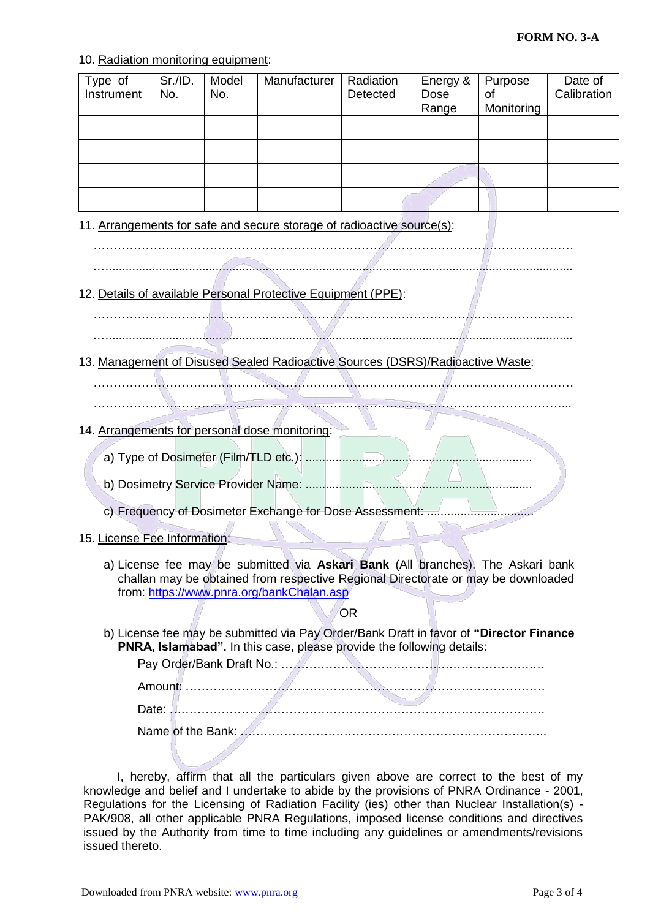#### 10. Radiation monitoring equipment:

| Type of<br>Instrument | Sr./ID.<br>No. | Model<br>No. | Manufacturer | Radiation<br>Detected | Energy &<br>Dose<br>Range | Purpose<br>0f<br>Monitoring | Date of<br>Calibration |
|-----------------------|----------------|--------------|--------------|-----------------------|---------------------------|-----------------------------|------------------------|
|                       |                |              |              |                       |                           |                             |                        |
|                       |                |              |              |                       |                           |                             |                        |
|                       |                |              |              |                       |                           |                             |                        |
|                       |                |              |              |                       |                           |                             |                        |

11. Arrangements for safe and secure storage of radioactive source(s):

.…...........................................................................................................................................

# 12. Details of available Personal Protective Equipment (PPE):

………………………………………………………………………………………………………… .…...........................................................................................................................................

13. Management of Disused Sealed Radioactive Sources (DSRS)/Radioactive Waste:

…………………………………………………………………………………………………………

- ………………………………………………………………………………………………………...
- 14. Arrangements for personal dose monitoring:
	- a) Type of Dosimeter (Film/TLD etc.): ....................................................................
	- b) Dosimetry Service Provider Name: ....................................................................
	- c) Frequency of Dosimeter Exchange for Dose Assessment: ................................
- 15. License Fee Information:
	- a) License fee may be submitted via **Askari Bank** (All branches). The Askari bank challan may be obtained from respective Regional Directorate or may be downloaded from:<https://www.pnra.org/bankChalan.asp>

#### OR

b) License fee may be submitted via Pay Order/Bank Draft in favor of **"Director Finance PNRA, Islamabad".** In this case, please provide the following details:

Pay Order/Bank Draft No.: ………………………………………………………… Amount: ……………………………………………………………………………… Date: …………………………………………………………………………………. Name of the Bank: …………………………………………………………………..

I, hereby, affirm that all the particulars given above are correct to the best of my knowledge and belief and I undertake to abide by the provisions of PNRA Ordinance - 2001, Regulations for the Licensing of Radiation Facility (ies) other than Nuclear Installation(s) - PAK/908, all other applicable PNRA Regulations, imposed license conditions and directives issued by the Authority from time to time including any guidelines or amendments/revisions issued thereto.